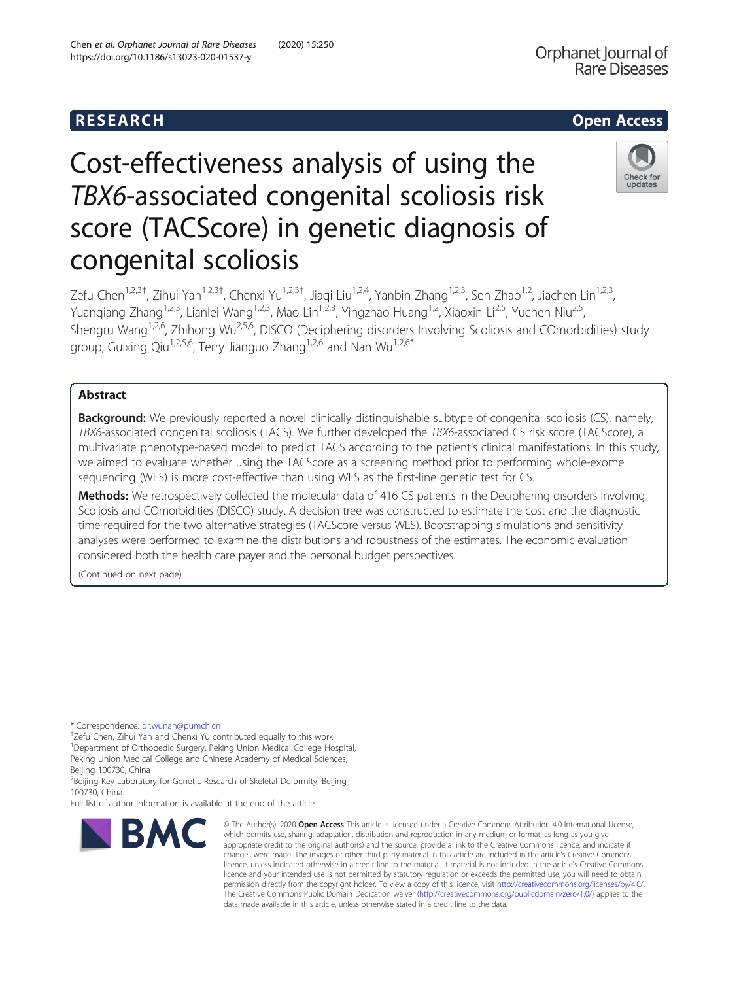# R E S EAR CH Open Access

# Cost-effectiveness analysis of using the TBX6-associated congenital scoliosis risk score (TACScore) in genetic diagnosis of congenital scoliosis



Zefu Chen<sup>1,2,3†</sup>, Zihui Yan<sup>1,2,3†</sup>, Chenxi Yu<sup>1,2,3†</sup>, Jiaqi Liu<sup>1,2,4</sup>, Yanbin Zhang<sup>1,2,3</sup>, Sen Zhao<sup>1,2</sup>, Jiachen Lin<sup>1,2,3</sup>, Yuanqiang Zhang<sup>1,2,3</sup>, Lianlei Wang<sup>1,2,3</sup>, Mao Lin<sup>1,2,3</sup>, Yingzhao Huang<sup>1,2</sup>, Xiaoxin Li<sup>2,5</sup>, Yuchen Niu<sup>2,5</sup>, Shengru Wang<sup>1,2,6</sup>, Zhihong Wu<sup>2,5,6</sup>, DISCO (Deciphering disorders Involving Scoliosis and COmorbidities) study group, Guixing Qiu<sup>1,2,5,6</sup>, Terry Jianguo Zhang<sup>1,2,6</sup> and Nan Wu<sup>1,2,6\*</sup>

# Abstract

Background: We previously reported a novel clinically distinguishable subtype of congenital scoliosis (CS), namely, TBX6-associated congenital scoliosis (TACS). We further developed the TBX6-associated CS risk score (TACScore), a multivariate phenotype-based model to predict TACS according to the patient's clinical manifestations. In this study, we aimed to evaluate whether using the TACScore as a screening method prior to performing whole-exome sequencing (WES) is more cost-effective than using WES as the first-line genetic test for CS.

Methods: We retrospectively collected the molecular data of 416 CS patients in the Deciphering disorders Involving Scoliosis and COmorbidities (DISCO) study. A decision tree was constructed to estimate the cost and the diagnostic time required for the two alternative strategies (TACScore versus WES). Bootstrapping simulations and sensitivity analyses were performed to examine the distributions and robustness of the estimates. The economic evaluation considered both the health care payer and the personal budget perspectives.

(Continued on next page)

\* Correspondence: [dr.wunan@pumch.cn](mailto:dr.wunan@pumch.cn) †

Zefu Chen, Zihui Yan and Chenxi Yu contributed equally to this work.

<sup>1</sup>Department of Orthopedic Surgery, Peking Union Medical College Hospital, Peking Union Medical College and Chinese Academy of Medical Sciences, Beijing 100730, China

<sup>2</sup>Beijing Key Laboratory for Genetic Research of Skeletal Deformity, Beijing 100730, China

Full list of author information is available at the end of the article



<sup>©</sup> The Author(s), 2020 **Open Access** This article is licensed under a Creative Commons Attribution 4.0 International License, which permits use, sharing, adaptation, distribution and reproduction in any medium or format, as long as you give appropriate credit to the original author(s) and the source, provide a link to the Creative Commons licence, and indicate if changes were made. The images or other third party material in this article are included in the article's Creative Commons licence, unless indicated otherwise in a credit line to the material. If material is not included in the article's Creative Commons licence and your intended use is not permitted by statutory regulation or exceeds the permitted use, you will need to obtain permission directly from the copyright holder. To view a copy of this licence, visit [http://creativecommons.org/licenses/by/4.0/.](http://creativecommons.org/licenses/by/4.0/) The Creative Commons Public Domain Dedication waiver [\(http://creativecommons.org/publicdomain/zero/1.0/](http://creativecommons.org/publicdomain/zero/1.0/)) applies to the data made available in this article, unless otherwise stated in a credit line to the data.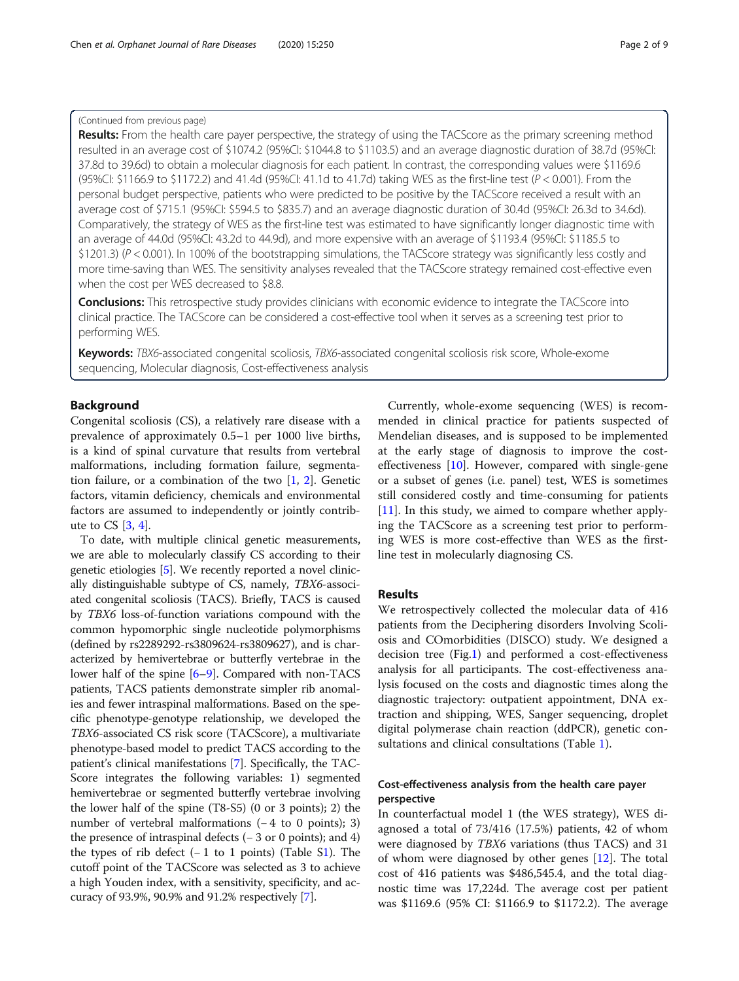# (Continued from previous page)

Results: From the health care payer perspective, the strategy of using the TACScore as the primary screening method resulted in an average cost of \$1074.2 (95%CI: \$1044.8 to \$1103.5) and an average diagnostic duration of 38.7d (95%CI: 37.8d to 39.6d) to obtain a molecular diagnosis for each patient. In contrast, the corresponding values were \$1169.6 (95%CI: \$1166.9 to \$1172.2) and 41.4d (95%CI: 41.1d to 41.7d) taking WES as the first-line test ( $P < 0.001$ ). From the personal budget perspective, patients who were predicted to be positive by the TACScore received a result with an average cost of \$715.1 (95%CI: \$594.5 to \$835.7) and an average diagnostic duration of 30.4d (95%CI: 26.3d to 34.6d). Comparatively, the strategy of WES as the first-line test was estimated to have significantly longer diagnostic time with an average of 44.0d (95%CI: 43.2d to 44.9d), and more expensive with an average of \$1193.4 (95%CI: \$1185.5 to \$1201.3) (P < 0.001). In 100% of the bootstrapping simulations, the TACScore strategy was significantly less costly and more time-saving than WES. The sensitivity analyses revealed that the TACScore strategy remained cost-effective even when the cost per WES decreased to \$8.8.

**Conclusions:** This retrospective study provides clinicians with economic evidence to integrate the TACScore into clinical practice. The TACScore can be considered a cost-effective tool when it serves as a screening test prior to performing WES.

Keywords: TBX6-associated congenital scoliosis, TBX6-associated congenital scoliosis risk score, Whole-exome sequencing, Molecular diagnosis, Cost-effectiveness analysis

# Background

Congenital scoliosis (CS), a relatively rare disease with a prevalence of approximately 0.5–1 per 1000 live births, is a kind of spinal curvature that results from vertebral malformations, including formation failure, segmentation failure, or a combination of the two  $[1, 2]$  $[1, 2]$  $[1, 2]$ . Genetic factors, vitamin deficiency, chemicals and environmental factors are assumed to independently or jointly contribute to  $CS$   $[3, 4]$  $[3, 4]$  $[3, 4]$  $[3, 4]$ .

To date, with multiple clinical genetic measurements, we are able to molecularly classify CS according to their genetic etiologies [[5\]](#page-7-0). We recently reported a novel clinically distinguishable subtype of CS, namely, TBX6-associated congenital scoliosis (TACS). Briefly, TACS is caused by TBX6 loss-of-function variations compound with the common hypomorphic single nucleotide polymorphisms (defined by rs2289292-rs3809624-rs3809627), and is characterized by hemivertebrae or butterfly vertebrae in the lower half of the spine [[6](#page-7-0)–[9](#page-8-0)]. Compared with non-TACS patients, TACS patients demonstrate simpler rib anomalies and fewer intraspinal malformations. Based on the specific phenotype-genotype relationship, we developed the TBX6-associated CS risk score (TACScore), a multivariate phenotype-based model to predict TACS according to the patient's clinical manifestations [[7](#page-7-0)]. Specifically, the TAC-Score integrates the following variables: 1) segmented hemivertebrae or segmented butterfly vertebrae involving the lower half of the spine (T8-S5) (0 or 3 points); 2) the number of vertebral malformations (−4 to 0 points); 3) the presence of intraspinal defects (− 3 or 0 points); and 4) the types of rib defect  $(-1 \text{ to } 1 \text{ points})$  (Table [S1](#page-7-0)). The cutoff point of the TACScore was selected as 3 to achieve a high Youden index, with a sensitivity, specificity, and accuracy of 93.9%, 90.9% and 91.2% respectively [\[7\]](#page-7-0).

Currently, whole-exome sequencing (WES) is recommended in clinical practice for patients suspected of Mendelian diseases, and is supposed to be implemented at the early stage of diagnosis to improve the costeffectiveness [\[10\]](#page-8-0). However, compared with single-gene or a subset of genes (i.e. panel) test, WES is sometimes still considered costly and time-consuming for patients [[11\]](#page-8-0). In this study, we aimed to compare whether applying the TACScore as a screening test prior to performing WES is more cost-effective than WES as the firstline test in molecularly diagnosing CS.

# Results

We retrospectively collected the molecular data of 416 patients from the Deciphering disorders Involving Scoliosis and COmorbidities (DISCO) study. We designed a decision tree (Fig[.1](#page-2-0)) and performed a cost-effectiveness analysis for all participants. The cost-effectiveness analysis focused on the costs and diagnostic times along the diagnostic trajectory: outpatient appointment, DNA extraction and shipping, WES, Sanger sequencing, droplet digital polymerase chain reaction (ddPCR), genetic con-sultations and clinical consultations (Table [1\)](#page-2-0).

# Cost-effectiveness analysis from the health care payer perspective

In counterfactual model 1 (the WES strategy), WES diagnosed a total of 73/416 (17.5%) patients, 42 of whom were diagnosed by TBX6 variations (thus TACS) and 31 of whom were diagnosed by other genes [\[12](#page-8-0)]. The total cost of 416 patients was \$486,545.4, and the total diagnostic time was 17,224d. The average cost per patient was \$1169.6 (95% CI: \$1166.9 to \$1172.2). The average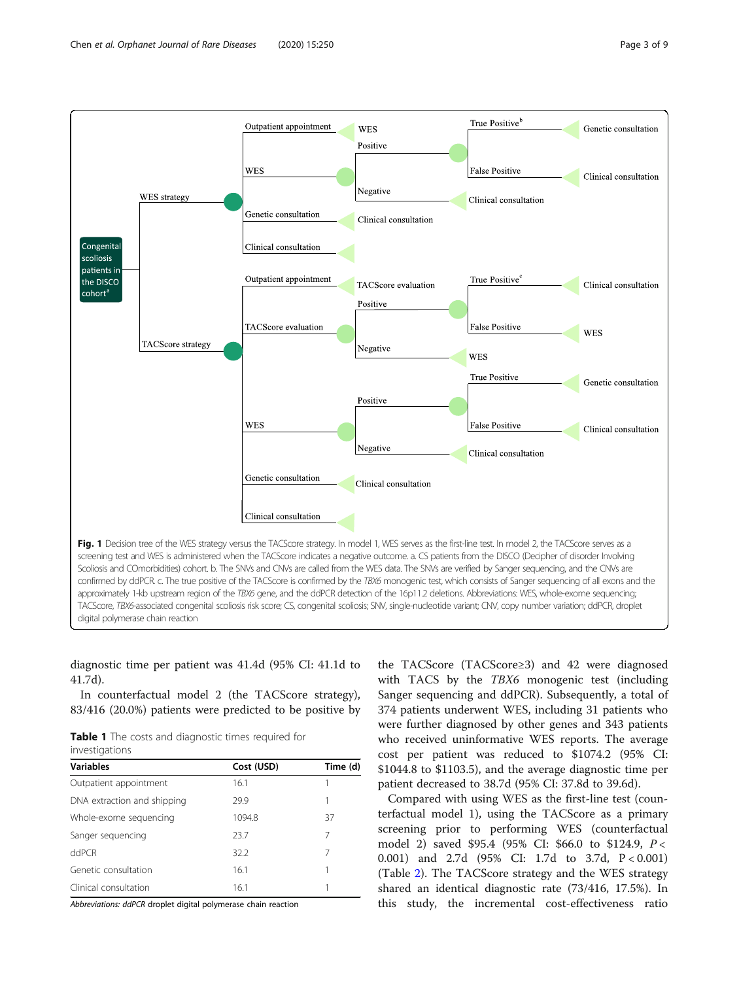<span id="page-2-0"></span>

diagnostic time per patient was 41.4d (95% CI: 41.1d to 41.7d).

In counterfactual model 2 (the TACScore strategy), 83/416 (20.0%) patients were predicted to be positive by

Table 1 The costs and diagnostic times required for investigations

| <u>INVESTIGATIONS</u> |          |  |  |  |
|-----------------------|----------|--|--|--|
| Cost (USD)            | Time (d) |  |  |  |
| 16.1                  |          |  |  |  |
| 29.9                  |          |  |  |  |
| 1094.8                | 37       |  |  |  |
| 23.7                  | 7        |  |  |  |
| 32.2                  | 7        |  |  |  |
| 16.1                  |          |  |  |  |
| 16.1                  |          |  |  |  |
|                       |          |  |  |  |

Abbreviations: ddPCR droplet digital polymerase chain reaction

the TACScore (TACScore≥3) and 42 were diagnosed with TACS by the *TBX6* monogenic test (including Sanger sequencing and ddPCR). Subsequently, a total of 374 patients underwent WES, including 31 patients who were further diagnosed by other genes and 343 patients who received uninformative WES reports. The average cost per patient was reduced to \$1074.2 (95% CI: \$1044.8 to \$1103.5), and the average diagnostic time per patient decreased to 38.7d (95% CI: 37.8d to 39.6d).

Compared with using WES as the first-line test (counterfactual model 1), using the TACScore as a primary screening prior to performing WES (counterfactual model 2) saved \$95.4 (95% CI: \$66.0 to \$124.9, P < 0.001) and 2.7d (95% CI: 1.7d to 3.7d, P < 0.001) (Table [2](#page-3-0)). The TACScore strategy and the WES strategy shared an identical diagnostic rate (73/416, 17.5%). In this study, the incremental cost-effectiveness ratio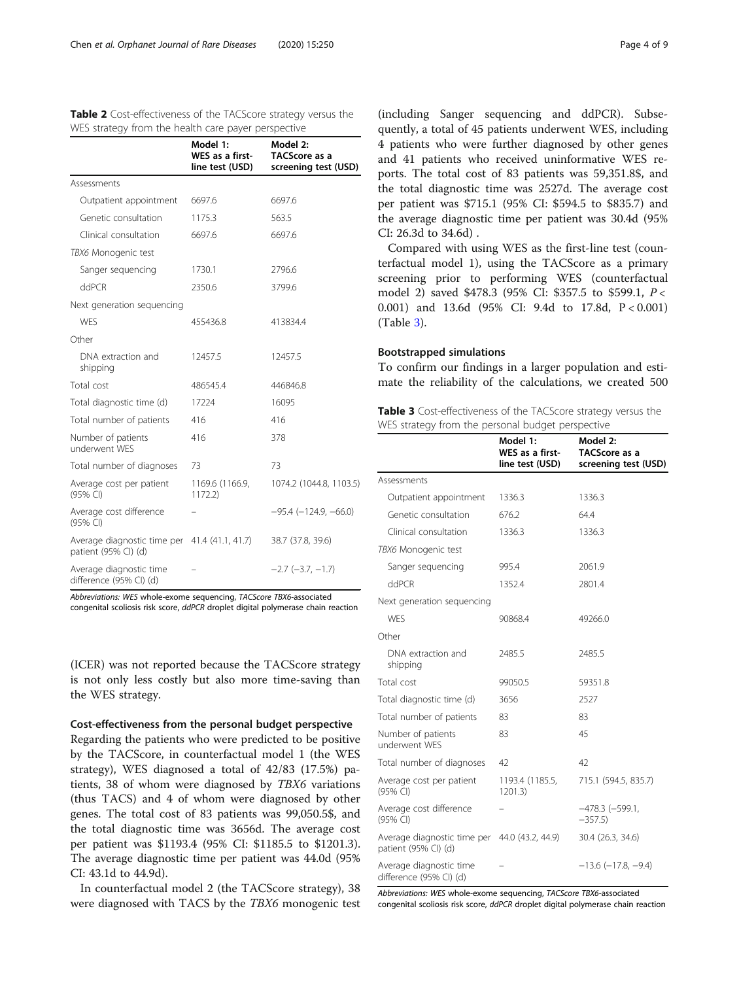|                                                                       | Model 1:<br>WES as a first-<br>line test (USD) | Model 2:<br>TACScore as a<br>screening test (USD) |
|-----------------------------------------------------------------------|------------------------------------------------|---------------------------------------------------|
| Assessments                                                           |                                                |                                                   |
| Outpatient appointment                                                | 6697.6                                         | 6697.6                                            |
| Genetic consultation                                                  | 1175.3                                         | 563.5                                             |
| Clinical consultation                                                 | 6697.6                                         | 6697.6                                            |
| TBX6 Monogenic test                                                   |                                                |                                                   |
| Sanger sequencing                                                     | 1730.1                                         | 2796.6                                            |
| ddPCR                                                                 | 2350.6                                         | 3799.6                                            |
| Next generation sequencing                                            |                                                |                                                   |
| <b>WFS</b>                                                            | 455436.8                                       | 413834.4                                          |
| Other                                                                 |                                                |                                                   |
| DNA extraction and<br>shipping                                        | 12457.5                                        | 12457.5                                           |
| Total cost                                                            | 486545.4                                       | 446846.8                                          |
| Total diagnostic time (d)                                             | 17224                                          | 16095                                             |
| Total number of patients                                              | 416                                            | 416                                               |
| Number of patients<br>underwent WFS                                   | 416                                            | 378                                               |
| Total number of diagnoses                                             | 73                                             | 73                                                |
| Average cost per patient<br>(95% CI)                                  | 1169.6 (1166.9,<br>1172.2                      | 1074.2 (1044.8, 1103.5)                           |
| Average cost difference<br>(95% CI)                                   |                                                | $-95.4$ ( $-124.9$ , $-66.0$ )                    |
| Average diagnostic time per 41.4 (41.1, 41.7)<br>patient (95% CI) (d) |                                                | 38.7 (37.8, 39.6)                                 |
| Average diagnostic time<br>difference (95% CI) (d)                    |                                                | $-2.7$ $(-3.7, -1.7)$                             |

<span id="page-3-0"></span>Table 2 Cost-effectiveness of the TACScore strategy versus the WES strategy from the health care payer perspective

Abbreviations: WES whole-exome sequencing, TACScore TBX6-associated congenital scoliosis risk score, ddPCR droplet digital polymerase chain reaction

(ICER) was not reported because the TACScore strategy is not only less costly but also more time-saving than the WES strategy.

# Cost-effectiveness from the personal budget perspective

Regarding the patients who were predicted to be positive by the TACScore, in counterfactual model 1 (the WES strategy), WES diagnosed a total of 42/83 (17.5%) patients, 38 of whom were diagnosed by TBX6 variations (thus TACS) and 4 of whom were diagnosed by other genes. The total cost of 83 patients was 99,050.5\$, and the total diagnostic time was 3656d. The average cost per patient was \$1193.4 (95% CI: \$1185.5 to \$1201.3). The average diagnostic time per patient was 44.0d (95% CI: 43.1d to 44.9d).

In counterfactual model 2 (the TACScore strategy), 38 were diagnosed with TACS by the TBX6 monogenic test

(including Sanger sequencing and ddPCR). Subsequently, a total of 45 patients underwent WES, including 4 patients who were further diagnosed by other genes and 41 patients who received uninformative WES reports. The total cost of 83 patients was 59,351.8\$, and the total diagnostic time was 2527d. The average cost per patient was \$715.1 (95% CI: \$594.5 to \$835.7) and the average diagnostic time per patient was 30.4d (95% CI: 26.3d to 34.6d) .

Compared with using WES as the first-line test (counterfactual model 1), using the TACScore as a primary screening prior to performing WES (counterfactual model 2) saved \$478.3 (95% CI: \$357.5 to \$599.1, P < 0.001) and 13.6d (95% CI: 9.4d to 17.8d, P < 0.001) (Table 3).

# Bootstrapped simulations

To confirm our findings in a larger population and estimate the reliability of the calculations, we created 500

Table 3 Cost-effectiveness of the TACScore strategy versus the WES strategy from the personal budget perspective

|                                                     | Model 1:<br><b>WES</b> as a first-<br>line test (USD) | Model 2:<br>TACScore as a<br>screening test (USD) |
|-----------------------------------------------------|-------------------------------------------------------|---------------------------------------------------|
| Assessments                                         |                                                       |                                                   |
| Outpatient appointment                              | 1336.3                                                | 1336.3                                            |
| Genetic consultation                                | 676.2                                                 | 64.4                                              |
| Clinical consultation                               | 1336.3                                                | 1336.3                                            |
| TBX6 Monogenic test                                 |                                                       |                                                   |
| Sanger sequencing                                   | 995.4                                                 | 2061.9                                            |
| ddPCR                                               | 1352.4                                                | 2801.4                                            |
| Next generation sequencing                          |                                                       |                                                   |
| <b>WFS</b>                                          | 90868.4                                               | 49266.0                                           |
| Other                                               |                                                       |                                                   |
| DNA extraction and<br>shipping                      | 2485.5                                                | 2485.5                                            |
| Total cost                                          | 99050.5                                               | 59351.8                                           |
| Total diagnostic time (d)                           | 3656                                                  | 2527                                              |
| Total number of patients                            | 83                                                    | 83                                                |
| Number of patients<br>underwent WFS                 | 83                                                    | 45                                                |
| Total number of diagnoses                           | 42                                                    | 42                                                |
| Average cost per patient<br>(95% CI)                | 1193.4 (1185.5,<br>1201.3                             | 715.1 (594.5, 835.7)                              |
| Average cost difference<br>(95% CI)                 |                                                       | $-478.3$ $(-599.1,$<br>$-357.5$                   |
| Average diagnostic time per<br>patient (95% CI) (d) | 44.0 (43.2, 44.9)                                     | 30.4 (26.3, 34.6)                                 |
| Average diagnostic time<br>difference (95% CI) (d)  |                                                       | $-13.6$ ( $-17.8$ , $-9.4$ )                      |

Abbreviations: WES whole-exome sequencing, TACScore TBX6-associated congenital scoliosis risk score, ddPCR droplet digital polymerase chain reaction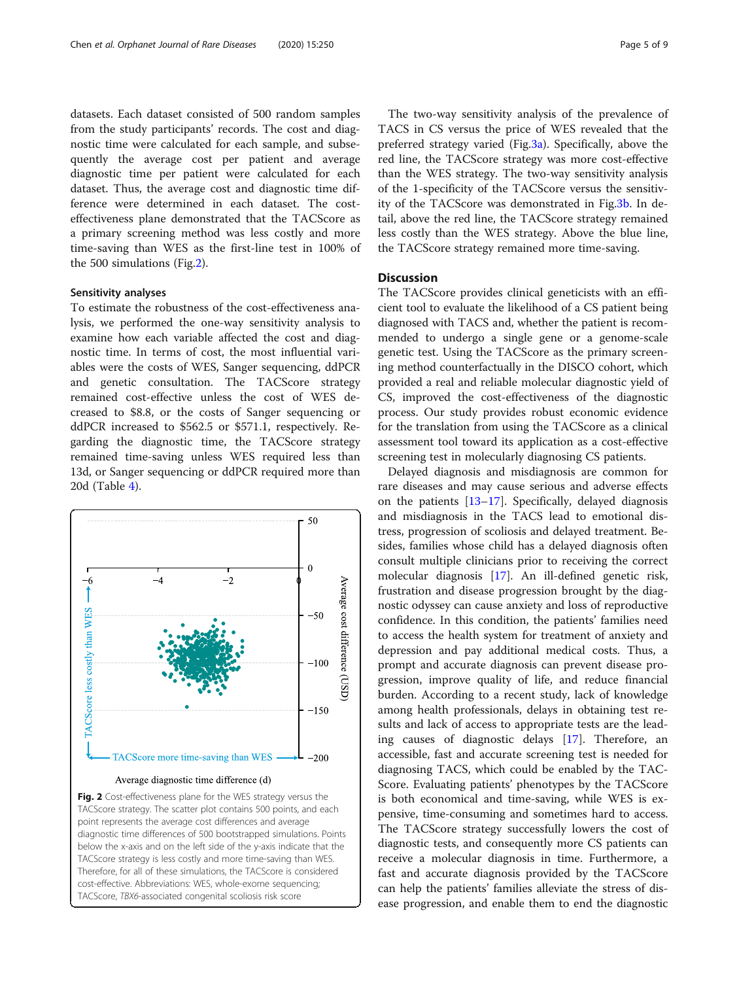datasets. Each dataset consisted of 500 random samples from the study participants' records. The cost and diagnostic time were calculated for each sample, and subsequently the average cost per patient and average diagnostic time per patient were calculated for each dataset. Thus, the average cost and diagnostic time difference were determined in each dataset. The costeffectiveness plane demonstrated that the TACScore as a primary screening method was less costly and more time-saving than WES as the first-line test in 100% of the 500 simulations (Fig.2).

# Sensitivity analyses

To estimate the robustness of the cost-effectiveness analysis, we performed the one-way sensitivity analysis to examine how each variable affected the cost and diagnostic time. In terms of cost, the most influential variables were the costs of WES, Sanger sequencing, ddPCR and genetic consultation. The TACScore strategy remained cost-effective unless the cost of WES decreased to \$8.8, or the costs of Sanger sequencing or ddPCR increased to \$562.5 or \$571.1, respectively. Regarding the diagnostic time, the TACScore strategy remained time-saving unless WES required less than 13d, or Sanger sequencing or ddPCR required more than 20d (Table [4\)](#page-5-0).



below the x-axis and on the left side of the y-axis indicate that the TACScore strategy is less costly and more time-saving than WES. Therefore, for all of these simulations, the TACScore is considered cost-effective. Abbreviations: WES, whole-exome sequencing; TACScore, TBX6-associated congenital scoliosis risk score

The two-way sensitivity analysis of the prevalence of TACS in CS versus the price of WES revealed that the preferred strategy varied (Fig[.3a\)](#page-5-0). Specifically, above the red line, the TACScore strategy was more cost-effective than the WES strategy. The two-way sensitivity analysis of the 1-specificity of the TACScore versus the sensitivity of the TACScore was demonstrated in Fig[.3b](#page-5-0). In detail, above the red line, the TACScore strategy remained less costly than the WES strategy. Above the blue line, the TACScore strategy remained more time-saving.

# **Discussion**

The TACScore provides clinical geneticists with an efficient tool to evaluate the likelihood of a CS patient being diagnosed with TACS and, whether the patient is recommended to undergo a single gene or a genome-scale genetic test. Using the TACScore as the primary screening method counterfactually in the DISCO cohort, which provided a real and reliable molecular diagnostic yield of CS, improved the cost-effectiveness of the diagnostic process. Our study provides robust economic evidence for the translation from using the TACScore as a clinical assessment tool toward its application as a cost-effective screening test in molecularly diagnosing CS patients.

Delayed diagnosis and misdiagnosis are common for rare diseases and may cause serious and adverse effects on the patients [[13](#page-8-0)–[17](#page-8-0)]. Specifically, delayed diagnosis and misdiagnosis in the TACS lead to emotional distress, progression of scoliosis and delayed treatment. Besides, families whose child has a delayed diagnosis often consult multiple clinicians prior to receiving the correct molecular diagnosis [[17](#page-8-0)]. An ill-defined genetic risk, frustration and disease progression brought by the diagnostic odyssey can cause anxiety and loss of reproductive confidence. In this condition, the patients' families need to access the health system for treatment of anxiety and depression and pay additional medical costs. Thus, a prompt and accurate diagnosis can prevent disease progression, improve quality of life, and reduce financial burden. According to a recent study, lack of knowledge among health professionals, delays in obtaining test results and lack of access to appropriate tests are the leading causes of diagnostic delays [[17\]](#page-8-0). Therefore, an accessible, fast and accurate screening test is needed for diagnosing TACS, which could be enabled by the TAC-Score. Evaluating patients' phenotypes by the TACScore is both economical and time-saving, while WES is expensive, time-consuming and sometimes hard to access. The TACScore strategy successfully lowers the cost of diagnostic tests, and consequently more CS patients can receive a molecular diagnosis in time. Furthermore, a fast and accurate diagnosis provided by the TACScore can help the patients' families alleviate the stress of disease progression, and enable them to end the diagnostic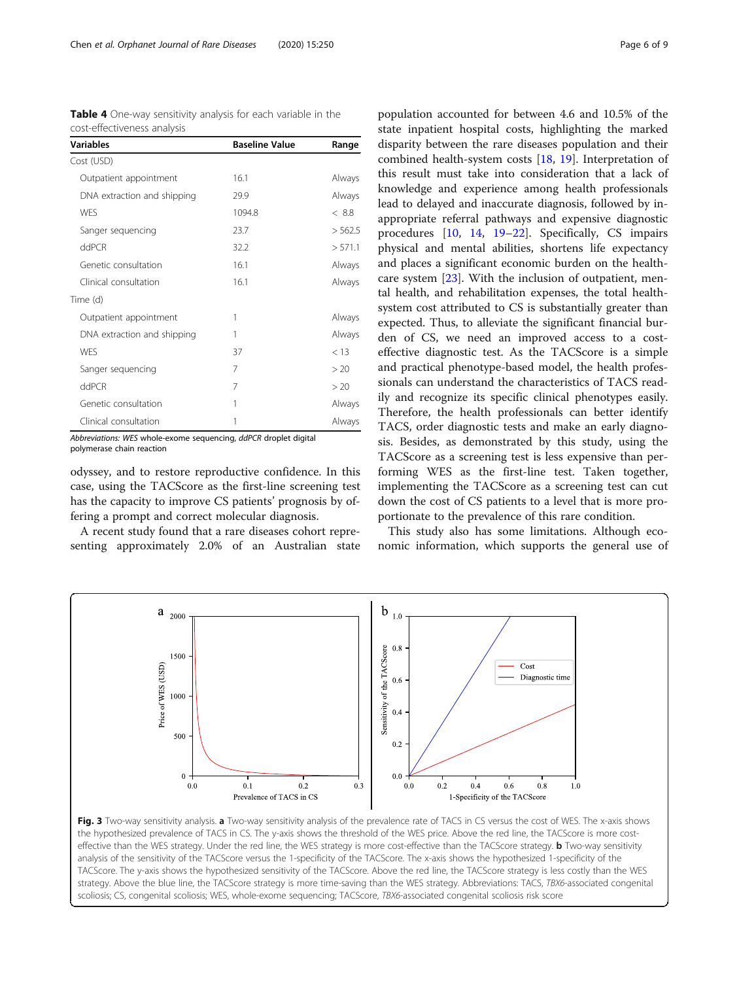<span id="page-5-0"></span>

| <b>Table 4</b> One-way sensitivity analysis for each variable in the |  |  |  |  |
|----------------------------------------------------------------------|--|--|--|--|
| cost-effectiveness analysis                                          |  |  |  |  |

| <b>Variables</b>            | <b>Baseline Value</b> | Range   |
|-----------------------------|-----------------------|---------|
| Cost (USD)                  |                       |         |
| Outpatient appointment      | 16.1                  | Always  |
| DNA extraction and shipping | 29.9                  | Always  |
| <b>WES</b>                  | 1094.8                | < 8.8   |
| Sanger sequencing           | 23.7                  | > 562.5 |
| ddPCR                       | 32.2                  | > 571.1 |
| Genetic consultation        | 16.1                  | Always  |
| Clinical consultation       | 16.1                  | Always  |
| Time (d)                    |                       |         |
| Outpatient appointment      | 1                     | Always  |
| DNA extraction and shipping | 1                     | Always  |
| <b>WFS</b>                  | 37                    | < 13    |
| Sanger sequencing           | 7                     | > 20    |
| ddPCR                       | 7                     | > 20    |
| Genetic consultation        | 1                     | Always  |
| Clinical consultation       | 1                     | Always  |

Abbreviations: WES whole-exome sequencing, ddPCR droplet digital polymerase chain reaction

odyssey, and to restore reproductive confidence. In this case, using the TACScore as the first-line screening test has the capacity to improve CS patients' prognosis by offering a prompt and correct molecular diagnosis.

A recent study found that a rare diseases cohort representing approximately 2.0% of an Australian state

population accounted for between 4.6 and 10.5% of the state inpatient hospital costs, highlighting the marked disparity between the rare diseases population and their combined health-system costs [[18,](#page-8-0) [19](#page-8-0)]. Interpretation of this result must take into consideration that a lack of knowledge and experience among health professionals lead to delayed and inaccurate diagnosis, followed by inappropriate referral pathways and expensive diagnostic procedures [[10,](#page-8-0) [14,](#page-8-0) [19](#page-8-0)–[22](#page-8-0)]. Specifically, CS impairs physical and mental abilities, shortens life expectancy and places a significant economic burden on the healthcare system [\[23\]](#page-8-0). With the inclusion of outpatient, mental health, and rehabilitation expenses, the total healthsystem cost attributed to CS is substantially greater than expected. Thus, to alleviate the significant financial burden of CS, we need an improved access to a costeffective diagnostic test. As the TACScore is a simple and practical phenotype-based model, the health professionals can understand the characteristics of TACS readily and recognize its specific clinical phenotypes easily. Therefore, the health professionals can better identify TACS, order diagnostic tests and make an early diagnosis. Besides, as demonstrated by this study, using the TACScore as a screening test is less expensive than performing WES as the first-line test. Taken together, implementing the TACScore as a screening test can cut down the cost of CS patients to a level that is more proportionate to the prevalence of this rare condition.

This study also has some limitations. Although economic information, which supports the general use of



Fig. 3 Two-way sensitivity analysis. a Two-way sensitivity analysis of the prevalence rate of TACS in CS versus the cost of WES. The x-axis shows the hypothesized prevalence of TACS in CS. The y-axis shows the threshold of the WES price. Above the red line, the TACScore is more costeffective than the WES strategy. Under the red line, the WES strategy is more cost-effective than the TACScore strategy. **b** Two-way sensitivity analysis of the sensitivity of the TACScore versus the 1-specificity of the TACScore. The x-axis shows the hypothesized 1-specificity of the TACScore. The y-axis shows the hypothesized sensitivity of the TACScore. Above the red line, the TACScore strategy is less costly than the WES strategy. Above the blue line, the TACScore strategy is more time-saving than the WES strategy. Abbreviations: TACS, TBX6-associated congenital scoliosis; CS, congenital scoliosis; WES, whole-exome sequencing; TACScore, TBX6-associated congenital scoliosis risk score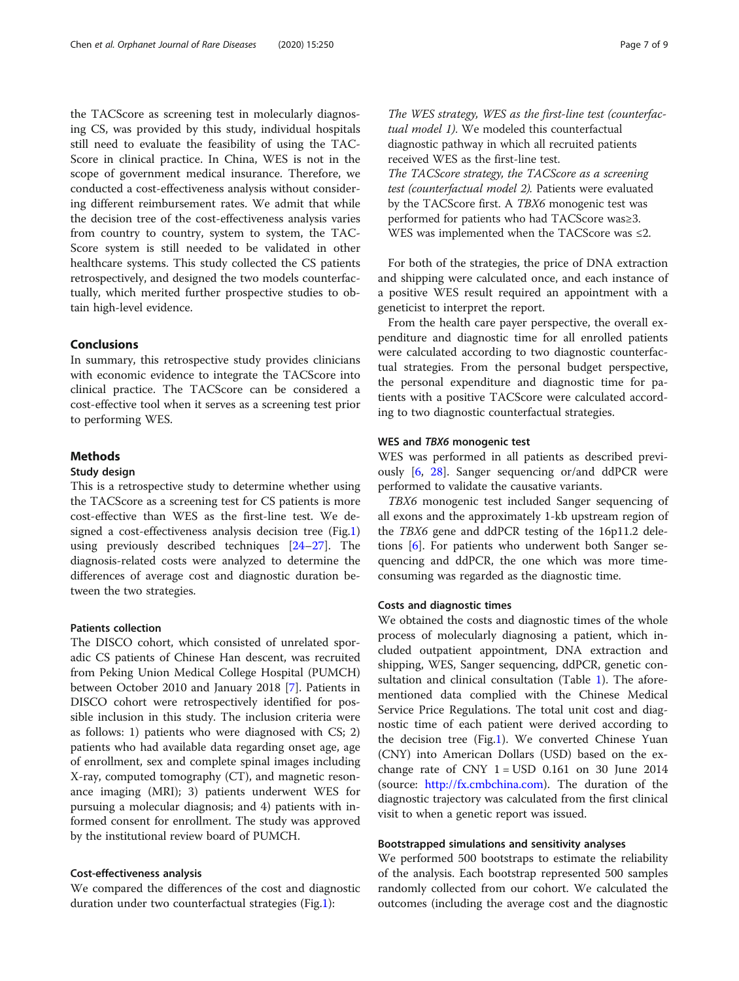the TACScore as screening test in molecularly diagnosing CS, was provided by this study, individual hospitals still need to evaluate the feasibility of using the TAC-Score in clinical practice. In China, WES is not in the scope of government medical insurance. Therefore, we conducted a cost-effectiveness analysis without considering different reimbursement rates. We admit that while the decision tree of the cost-effectiveness analysis varies from country to country, system to system, the TAC-Score system is still needed to be validated in other healthcare systems. This study collected the CS patients retrospectively, and designed the two models counterfactually, which merited further prospective studies to obtain high-level evidence.

# Conclusions

In summary, this retrospective study provides clinicians with economic evidence to integrate the TACScore into clinical practice. The TACScore can be considered a cost-effective tool when it serves as a screening test prior to performing WES.

# Methods

# Study design

This is a retrospective study to determine whether using the TACScore as a screening test for CS patients is more cost-effective than WES as the first-line test. We designed a cost-effectiveness analysis decision tree (Fig[.1](#page-2-0)) using previously described techniques [[24](#page-8-0)–[27](#page-8-0)]. The diagnosis-related costs were analyzed to determine the differences of average cost and diagnostic duration between the two strategies.

# Patients collection

The DISCO cohort, which consisted of unrelated sporadic CS patients of Chinese Han descent, was recruited from Peking Union Medical College Hospital (PUMCH) between October 2010 and January 2018 [[7\]](#page-7-0). Patients in DISCO cohort were retrospectively identified for possible inclusion in this study. The inclusion criteria were as follows: 1) patients who were diagnosed with CS; 2) patients who had available data regarding onset age, age of enrollment, sex and complete spinal images including X-ray, computed tomography (CT), and magnetic resonance imaging (MRI); 3) patients underwent WES for pursuing a molecular diagnosis; and 4) patients with informed consent for enrollment. The study was approved by the institutional review board of PUMCH.

# Cost-effectiveness analysis

We compared the differences of the cost and diagnostic duration under two counterfactual strategies (Fig.[1\)](#page-2-0):

The WES strategy, WES as the first-line test (counterfactual model 1). We modeled this counterfactual diagnostic pathway in which all recruited patients received WES as the first-line test.

The TACScore strategy, the TACScore as a screening test (counterfactual model 2). Patients were evaluated by the TACScore first. A TBX6 monogenic test was performed for patients who had TACScore was≥3. WES was implemented when the TACScore was ≤2.

For both of the strategies, the price of DNA extraction and shipping were calculated once, and each instance of a positive WES result required an appointment with a geneticist to interpret the report.

From the health care payer perspective, the overall expenditure and diagnostic time for all enrolled patients were calculated according to two diagnostic counterfactual strategies. From the personal budget perspective, the personal expenditure and diagnostic time for patients with a positive TACScore were calculated according to two diagnostic counterfactual strategies.

# WES and TBX6 monogenic test

WES was performed in all patients as described previously [[6](#page-7-0), [28\]](#page-8-0). Sanger sequencing or/and ddPCR were performed to validate the causative variants.

TBX6 monogenic test included Sanger sequencing of all exons and the approximately 1-kb upstream region of the TBX6 gene and ddPCR testing of the 16p11.2 deletions [\[6](#page-7-0)]. For patients who underwent both Sanger sequencing and ddPCR, the one which was more timeconsuming was regarded as the diagnostic time.

# Costs and diagnostic times

We obtained the costs and diagnostic times of the whole process of molecularly diagnosing a patient, which included outpatient appointment, DNA extraction and shipping, WES, Sanger sequencing, ddPCR, genetic consultation and clinical consultation (Table [1](#page-2-0)). The aforementioned data complied with the Chinese Medical Service Price Regulations. The total unit cost and diagnostic time of each patient were derived according to the decision tree (Fig.[1\)](#page-2-0). We converted Chinese Yuan (CNY) into American Dollars (USD) based on the exchange rate of CNY  $1 =$  USD 0.161 on 30 June 2014 (source: <http://fx.cmbchina.com>). The duration of the diagnostic trajectory was calculated from the first clinical visit to when a genetic report was issued.

# Bootstrapped simulations and sensitivity analyses

We performed 500 bootstraps to estimate the reliability of the analysis. Each bootstrap represented 500 samples randomly collected from our cohort. We calculated the outcomes (including the average cost and the diagnostic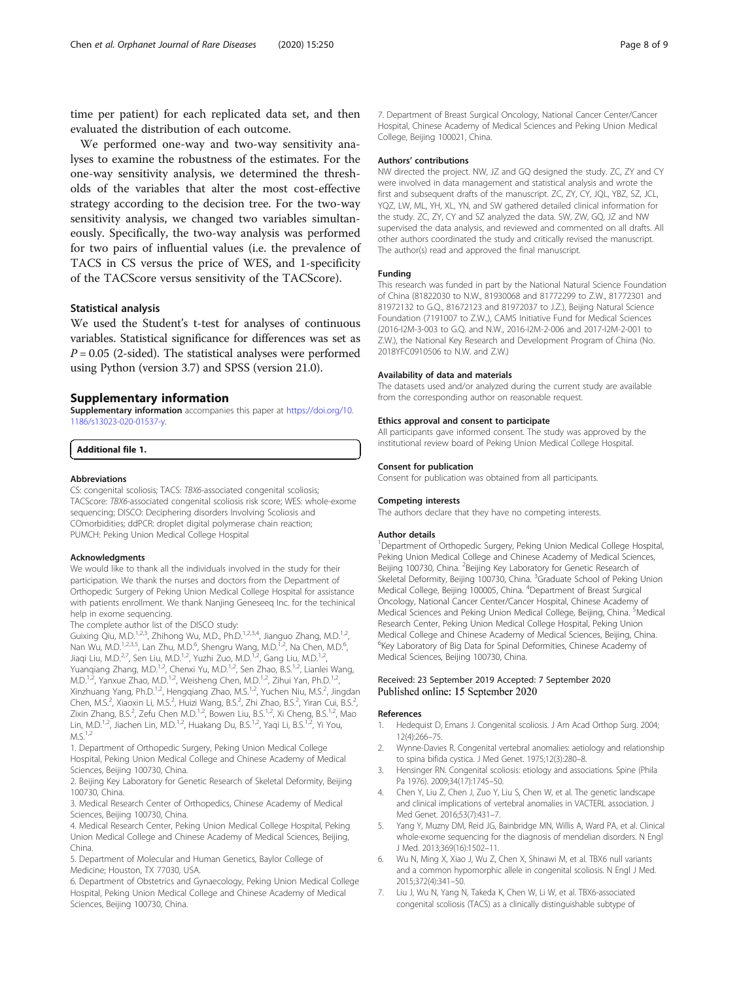<span id="page-7-0"></span>time per patient) for each replicated data set, and then evaluated the distribution of each outcome.

We performed one-way and two-way sensitivity analyses to examine the robustness of the estimates. For the one-way sensitivity analysis, we determined the thresholds of the variables that alter the most cost-effective strategy according to the decision tree. For the two-way sensitivity analysis, we changed two variables simultaneously. Specifically, the two-way analysis was performed for two pairs of influential values (i.e. the prevalence of TACS in CS versus the price of WES, and 1-specificity of the TACScore versus sensitivity of the TACScore).

# Statistical analysis

We used the Student's t-test for analyses of continuous variables. Statistical significance for differences was set as  $P = 0.05$  (2-sided). The statistical analyses were performed using Python (version 3.7) and SPSS (version 21.0).

# Supplementary information

Supplementary information accompanies this paper at [https://doi.org/10.](https://doi.org/10.1186/s13023-020-01537-y) [1186/s13023-020-01537-y](https://doi.org/10.1186/s13023-020-01537-y).

Additional file 1.

# Abbreviations

CS: congenital scoliosis; TACS: TBX6-associated congenital scoliosis; TACScore: TBX6-associated congenital scoliosis risk score; WES: whole-exome sequencing; DISCO: Deciphering disorders Involving Scoliosis and COmorbidities; ddPCR: droplet digital polymerase chain reaction; PUMCH: Peking Union Medical College Hospital

#### Acknowledgments

We would like to thank all the individuals involved in the study for their participation. We thank the nurses and doctors from the Department of Orthopedic Surgery of Peking Union Medical College Hospital for assistance with patients enrollment. We thank Nanjing Geneseeq Inc. for the techinical help in exome sequencing.

The complete author list of the DISCO study:

Guixing Qiu, M.D.<sup>1,2,3</sup>, Zhihong Wu, M.D., Ph.D.<sup>1,2,3,4</sup>, Jianguo Zhang, M.D.<sup>1,2</sup> Nan Wu, M.D.<sup>1,2,3,5</sup>, Lan Zhu, M.D.<sup>6</sup>, Shengru Wang, M.D.<sup>1,2</sup>, Na Chen, M.D.<sup>6</sup> , Jiaqi Liu, M.D.<sup>2,7</sup>, Sen Liu, M.D.<sup>1,2</sup>, Yuzhi Zuo, M.D.<sup>1,2</sup>, Gang Liu, M.D.<sup>1,2</sup>, Yuanqiang Zhang, M.D.<sup>1,2</sup>, Chenxi Yu, M.D.<sup>1,2</sup>, Sen Zhao, B.S.<sup>1,2</sup>, Lianlei Wang, M.D.<sup>1,2</sup>, Yanxue Zhao, M.D.<sup>1,2</sup>, Weisheng Chen, M.D.<sup>1,2</sup>, Zihui Yan, Ph.D.<sup>1,2</sup>, Xinzhuang Yang, Ph.D.<sup>1,2</sup>, Hengqiang Zhao, M.S.<sup>1,2</sup>, Yuchen Niu, M.S.<sup>2</sup>, Jingdan Chen, M.S.<sup>2</sup>, Xiaoxin Li, M.S.<sup>2</sup>, Huizi Wang, B.S.<sup>2</sup>, Zhi Zhao, B.S.<sup>2</sup>, Yiran Cui, B.S.<sup>2</sup> , Zixin Zhang, B.S.<sup>2</sup>, Zefu Chen M.D.<sup>1,2</sup>, Bowen Liu, B.S.<sup>1,2</sup>, Xi Cheng, B.S.<sup>1,2</sup>, Mao Lin, M.D.<sup>1,2</sup>, Jiachen Lin, M.D.<sup>1,2</sup>, Huakang Du, B.S.<sup>1,2</sup>, Yaqi Li, B.S.<sup>1,2</sup>, Yi You,  $M.S.<sup>1,2</sup>$ 

1. Department of Orthopedic Surgery, Peking Union Medical College Hospital, Peking Union Medical College and Chinese Academy of Medical Sciences, Beijing 100730, China.

2. Beijing Key Laboratory for Genetic Research of Skeletal Deformity, Beijing 100730, China.

3. Medical Research Center of Orthopedics, Chinese Academy of Medical Sciences, Beijing 100730, China.

4. Medical Research Center, Peking Union Medical College Hospital, Peking Union Medical College and Chinese Academy of Medical Sciences, Beijing, China.

5. Department of Molecular and Human Genetics, Baylor College of Medicine; Houston, TX 77030, USA.

6. Department of Obstetrics and Gynaecology, Peking Union Medical College Hospital, Peking Union Medical College and Chinese Academy of Medical Sciences, Beijing 100730, China.

# Authors' contributions

NW directed the project. NW, JZ and GQ designed the study. ZC, ZY and CY were involved in data management and statistical analysis and wrote the first and subsequent drafts of the manuscript. ZC, ZY, CY, JQL, YBZ, SZ, JCL, YQZ, LW, ML, YH, XL, YN, and SW gathered detailed clinical information for the study. ZC, ZY, CY and SZ analyzed the data. SW, ZW, GQ, JZ and NW supervised the data analysis, and reviewed and commented on all drafts. All other authors coordinated the study and critically revised the manuscript. The author(s) read and approved the final manuscript.

# Funding

This research was funded in part by the National Natural Science Foundation of China (81822030 to N.W., 81930068 and 81772299 to Z.W., 81772301 and 81972132 to G.Q., 81672123 and 81972037 to J.Z.), Beijing Natural Science Foundation (7191007 to Z.W.,), CAMS Initiative Fund for Medical Sciences (2016-I2M-3-003 to G.Q. and N.W., 2016-I2M-2-006 and 2017-I2M-2-001 to Z.W.), the National Key Research and Development Program of China (No. 2018YFC0910506 to N.W. and Z.W.)

# Availability of data and materials

The datasets used and/or analyzed during the current study are available from the corresponding author on reasonable request.

# Ethics approval and consent to participate

All participants gave informed consent. The study was approved by the institutional review board of Peking Union Medical College Hospital.

# Consent for publication

Consent for publication was obtained from all participants.

# Competing interests

The authors declare that they have no competing interests.

### Author details

<sup>1</sup>Department of Orthopedic Surgery, Peking Union Medical College Hospital Peking Union Medical College and Chinese Academy of Medical Sciences, Beijing 100730, China. <sup>2</sup>Beijing Key Laboratory for Genetic Research of Skeletal Deformity, Beijing 100730, China. <sup>3</sup>Graduate School of Peking Union Medical College, Beijing 100005, China. <sup>4</sup> Department of Breast Surgical Oncology, National Cancer Center/Cancer Hospital, Chinese Academy of Medical Sciences and Peking Union Medical College, Beijing, China. <sup>5</sup>Medical Research Center, Peking Union Medical College Hospital, Peking Union Medical College and Chinese Academy of Medical Sciences, Beijing, China. <sup>6</sup>Key Laboratory of Big Data for Spinal Deformities, Chinese Academy of Medical Sciences, Beijing 100730, China.

# Received: 23 September 2019 Accepted: 7 September 2020 Published online: 15 September 2020

# References

- 1. Hedequist D, Emans J. Congenital scoliosis. J Am Acad Orthop Surg. 2004; 12(4):266–75.
- 2. Wynne-Davies R. Congenital vertebral anomalies: aetiology and relationship to spina bifida cystica. J Med Genet. 1975;12(3):280–8.
- 3. Hensinger RN. Congenital scoliosis: etiology and associations. Spine (Phila Pa 1976). 2009;34(17):1745–50.
- 4. Chen Y, Liu Z, Chen J, Zuo Y, Liu S, Chen W, et al. The genetic landscape and clinical implications of vertebral anomalies in VACTERL association. J Med Genet. 2016;53(7):431–7.
- 5. Yang Y, Muzny DM, Reid JG, Bainbridge MN, Willis A, Ward PA, et al. Clinical whole-exome sequencing for the diagnosis of mendelian disorders. N Engl J Med. 2013;369(16):1502–11.
- 6. Wu N, Ming X, Xiao J, Wu Z, Chen X, Shinawi M, et al. TBX6 null variants and a common hypomorphic allele in congenital scoliosis. N Engl J Med. 2015;372(4):341–50.
- 7. Liu J, Wu N, Yang N, Takeda K, Chen W, Li W, et al. TBX6-associated congenital scoliosis (TACS) as a clinically distinguishable subtype of